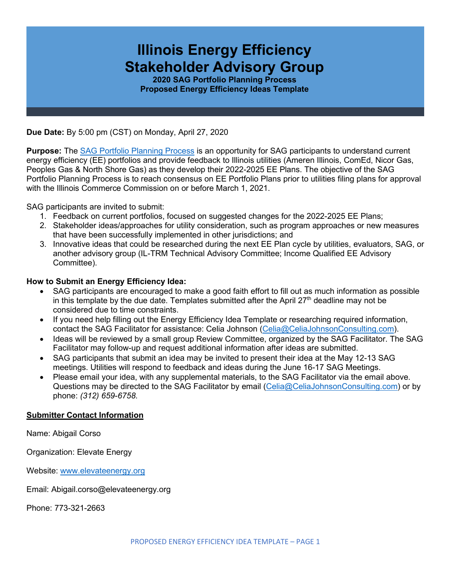# **Illinois Energy Efficiency Stakeholder Advisory Group**

**2020 SAG Portfolio Planning Process Proposed Energy Efficiency Ideas Template**

**Due Date:** By 5:00 pm (CST) on Monday, April 27, 2020

**Purpose:** The [SAG Portfolio Planning Process](https://www.ilsag.info/meetings/portfolio-planning-process/) is an opportunity for SAG participants to understand current energy efficiency (EE) portfolios and provide feedback to Illinois utilities (Ameren Illinois, ComEd, Nicor Gas, Peoples Gas & North Shore Gas) as they develop their 2022-2025 EE Plans. The objective of the SAG Portfolio Planning Process is to reach consensus on EE Portfolio Plans prior to utilities filing plans for approval with the Illinois Commerce Commission on or before March 1, 2021.

SAG participants are invited to submit:

- 1. Feedback on current portfolios, focused on suggested changes for the 2022-2025 EE Plans;
- 2. Stakeholder ideas/approaches for utility consideration, such as program approaches or new measures that have been successfully implemented in other jurisdictions; and
- 3. Innovative ideas that could be researched during the next EE Plan cycle by utilities, evaluators, SAG, or another advisory group (IL-TRM Technical Advisory Committee; Income Qualified EE Advisory Committee).

## **How to Submit an Energy Efficiency Idea:**

- SAG participants are encouraged to make a good faith effort to fill out as much information as possible in this template by the due date. Templates submitted after the April  $27<sup>th</sup>$  deadline may not be considered due to time constraints.
- If you need help filling out the Energy Efficiency Idea Template or researching required information, contact the SAG Facilitator for assistance: Celia Johnson [\(Celia@CeliaJohnsonConsulting.com\)](mailto:Celia@CeliaJohnsonConsulting.com).
- Ideas will be reviewed by a small group Review Committee, organized by the SAG Facilitator. The SAG Facilitator may follow-up and request additional information after ideas are submitted.
- SAG participants that submit an idea may be invited to present their idea at the May 12-13 SAG meetings. Utilities will respond to feedback and ideas during the June 16-17 SAG Meetings.
- Please email your idea, with any supplemental materials, to the SAG Facilitator via the email above. Questions may be directed to the SAG Facilitator by email [\(Celia@CeliaJohnsonConsulting.com\)](mailto:Celia@CeliaJohnsonConsulting.com) or by phone: *(312) 659-6758*.

## **Submitter Contact Information**

Name: Abigail Corso

Organization: Elevate Energy

Website: [www.elevateenergy.org](http://www.elevateenergy.org/)

Email: Abigail.corso@elevateenergy.org

Phone: 773-321-2663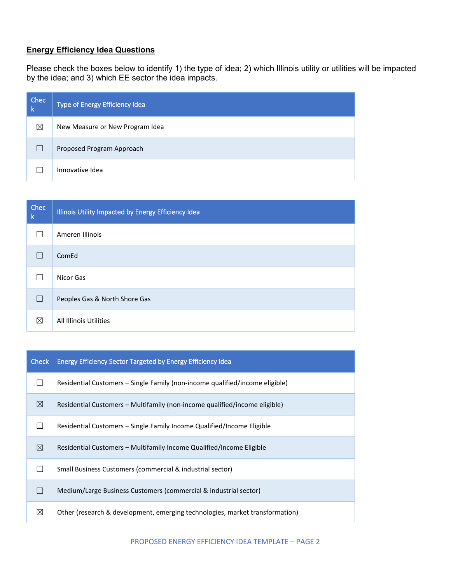# **Energy Efficiency Idea Questions**

Please check the boxes below to identify 1) the type of idea; 2) which Illinois utility or utilities will be impacted by the idea; and 3) which EE sector the idea impacts.

| Chec<br>-k | Type of Energy Efficiency Idea  |
|------------|---------------------------------|
| ⊠          | New Measure or New Program Idea |
|            | Proposed Program Approach       |
|            | Innovative Idea                 |

| Chec<br><b>k</b> | Illinois Utility Impacted by Energy Efficiency Idea |
|------------------|-----------------------------------------------------|
|                  | Ameren Illinois                                     |
|                  | ComEd                                               |
|                  | Nicor Gas                                           |
|                  | Peoples Gas & North Shore Gas                       |
| ⊠                | All Illinois Utilities                              |

| <b>Check</b> | Energy Efficiency Sector Targeted by Energy Efficiency Idea                  |
|--------------|------------------------------------------------------------------------------|
|              | Residential Customers – Single Family (non-income qualified/income eligible) |
| ⊠            | Residential Customers – Multifamily (non-income qualified/income eligible)   |
|              | Residential Customers – Single Family Income Qualified/Income Eligible       |
| ⊠            | Residential Customers – Multifamily Income Qualified/Income Eligible         |
|              | Small Business Customers (commercial & industrial sector)                    |
|              | Medium/Large Business Customers (commercial & industrial sector)             |
| ⊠            | Other (research & development, emerging technologies, market transformation) |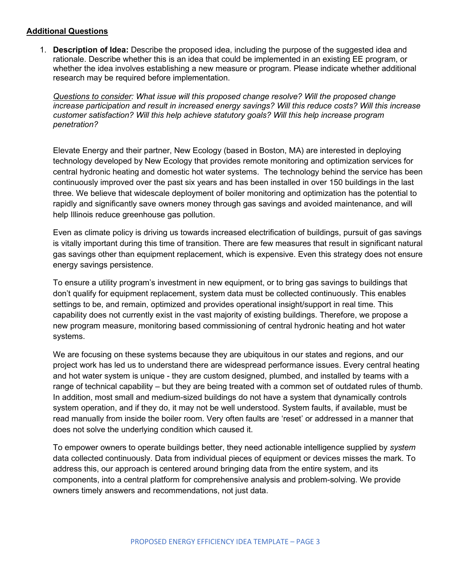#### **Additional Questions**

1. **Description of Idea:** Describe the proposed idea, including the purpose of the suggested idea and rationale. Describe whether this is an idea that could be implemented in an existing EE program, or whether the idea involves establishing a new measure or program. Please indicate whether additional research may be required before implementation.

*Questions to consider: What issue will this proposed change resolve? Will the proposed change increase participation and result in increased energy savings? Will this reduce costs? Will this increase customer satisfaction? Will this help achieve statutory goals? Will this help increase program penetration?* 

Elevate Energy and their partner, New Ecology (based in Boston, MA) are interested in deploying technology developed by New Ecology that provides remote monitoring and optimization services for central hydronic heating and domestic hot water systems. The technology behind the service has been continuously improved over the past six years and has been installed in over 150 buildings in the last three. We believe that widescale deployment of boiler monitoring and optimization has the potential to rapidly and significantly save owners money through gas savings and avoided maintenance, and will help Illinois reduce greenhouse gas pollution.

Even as climate policy is driving us towards increased electrification of buildings, pursuit of gas savings is vitally important during this time of transition. There are few measures that result in significant natural gas savings other than equipment replacement, which is expensive. Even this strategy does not ensure energy savings persistence.

To ensure a utility program's investment in new equipment, or to bring gas savings to buildings that don't qualify for equipment replacement, system data must be collected continuously. This enables settings to be, and remain, optimized and provides operational insight/support in real time. This capability does not currently exist in the vast majority of existing buildings. Therefore, we propose a new program measure, monitoring based commissioning of central hydronic heating and hot water systems.

We are focusing on these systems because they are ubiquitous in our states and regions, and our project work has led us to understand there are widespread performance issues. Every central heating and hot water system is unique - they are custom designed, plumbed, and installed by teams with a range of technical capability – but they are being treated with a common set of outdated rules of thumb. In addition, most small and medium-sized buildings do not have a system that dynamically controls system operation, and if they do, it may not be well understood. System faults, if available, must be read manually from inside the boiler room. Very often faults are 'reset' or addressed in a manner that does not solve the underlying condition which caused it.

To empower owners to operate buildings better, they need actionable intelligence supplied by *system* data collected continuously. Data from individual pieces of equipment or devices misses the mark. To address this, our approach is centered around bringing data from the entire system, and its components, into a central platform for comprehensive analysis and problem-solving. We provide owners timely answers and recommendations, not just data.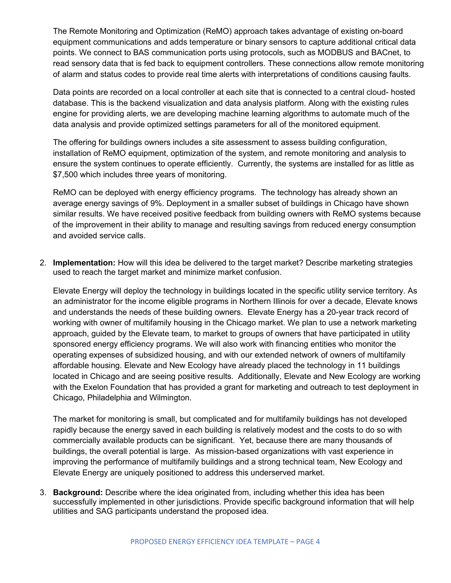The Remote Monitoring and Optimization (ReMO) approach takes advantage of existing on-board equipment communications and adds temperature or binary sensors to capture additional critical data points. We connect to BAS communication ports using protocols, such as MODBUS and BACnet, to read sensory data that is fed back to equipment controllers. These connections allow remote monitoring of alarm and status codes to provide real time alerts with interpretations of conditions causing faults.

Data points are recorded on a local controller at each site that is connected to a central cloud- hosted database. This is the backend visualization and data analysis platform. Along with the existing rules engine for providing alerts, we are developing machine learning algorithms to automate much of the data analysis and provide optimized settings parameters for all of the monitored equipment.

The offering for buildings owners includes a site assessment to assess building configuration, installation of ReMO equipment, optimization of the system, and remote monitoring and analysis to ensure the system continues to operate efficiently. Currently, the systems are installed for as little as \$7,500 which includes three years of monitoring.

ReMO can be deployed with energy efficiency programs. The technology has already shown an average energy savings of 9%. Deployment in a smaller subset of buildings in Chicago have shown similar results. We have received positive feedback from building owners with ReMO systems because of the improvement in their ability to manage and resulting savings from reduced energy consumption and avoided service calls.

2. **Implementation:** How will this idea be delivered to the target market? Describe marketing strategies used to reach the target market and minimize market confusion.

Elevate Energy will deploy the technology in buildings located in the specific utility service territory. As an administrator for the income eligible programs in Northern Illinois for over a decade, Elevate knows and understands the needs of these building owners. Elevate Energy has a 20-year track record of working with owner of multifamily housing in the Chicago market. We plan to use a network marketing approach, guided by the Elevate team, to market to groups of owners that have participated in utility sponsored energy efficiency programs. We will also work with financing entities who monitor the operating expenses of subsidized housing, and with our extended network of owners of multifamily affordable housing. Elevate and New Ecology have already placed the technology in 11 buildings located in Chicago and are seeing positive results. Additionally, Elevate and New Ecology are working with the Exelon Foundation that has provided a grant for marketing and outreach to test deployment in Chicago, Philadelphia and Wilmington.

The market for monitoring is small, but complicated and for multifamily buildings has not developed rapidly because the energy saved in each building is relatively modest and the costs to do so with commercially available products can be significant. Yet, because there are many thousands of buildings, the overall potential is large. As mission-based organizations with vast experience in improving the performance of multifamily buildings and a strong technical team, New Ecology and Elevate Energy are uniquely positioned to address this underserved market.

3. **Background:** Describe where the idea originated from, including whether this idea has been successfully implemented in other jurisdictions. Provide specific background information that will help utilities and SAG participants understand the proposed idea.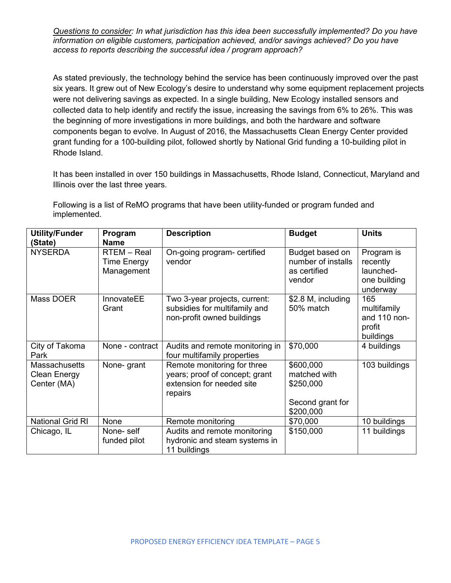*Questions to consider: In what jurisdiction has this idea been successfully implemented? Do you have information on eligible customers, participation achieved, and/or savings achieved? Do you have access to reports describing the successful idea / program approach?* 

As stated previously, the technology behind the service has been continuously improved over the past six years. It grew out of New Ecology's desire to understand why some equipment replacement projects were not delivering savings as expected. In a single building, New Ecology installed sensors and collected data to help identify and rectify the issue, increasing the savings from 6% to 26%. This was the beginning of more investigations in more buildings, and both the hardware and software components began to evolve. In August of 2016, the Massachusetts Clean Energy Center provided grant funding for a 100-building pilot, followed shortly by National Grid funding a 10-building pilot in Rhode Island.

It has been installed in over 150 buildings in Massachusetts, Rhode Island, Connecticut, Maryland and Illinois over the last three years.

Following is a list of ReMO programs that have been utility-funded or program funded and implemented.

| <b>Utility/Funder</b><br>(State)                           | Program<br><b>Name</b>                   | <b>Description</b>                                                                                    | <b>Budget</b>                                                           | <b>Units</b>                                                    |
|------------------------------------------------------------|------------------------------------------|-------------------------------------------------------------------------------------------------------|-------------------------------------------------------------------------|-----------------------------------------------------------------|
| <b>NYSERDA</b>                                             | RTEM - Real<br>Time Energy<br>Management | On-going program- certified<br>vendor                                                                 | Budget based on<br>number of installs<br>as certified<br>vendor         | Program is<br>recently<br>launched-<br>one building<br>underway |
| Mass DOER                                                  | InnovateEE<br>Grant                      | Two 3-year projects, current:<br>subsidies for multifamily and<br>non-profit owned buildings          | \$2.8 M, including<br>50% match                                         | 165<br>multifamily<br>and 110 non-<br>profit<br>buildings       |
| City of Takoma<br>Park                                     | None - contract                          | Audits and remote monitoring in<br>four multifamily properties                                        | \$70,000                                                                | 4 buildings                                                     |
| <b>Massachusetts</b><br><b>Clean Energy</b><br>Center (MA) | None- grant                              | Remote monitoring for three<br>years; proof of concept; grant<br>extension for needed site<br>repairs | \$600,000<br>matched with<br>\$250,000<br>Second grant for<br>\$200,000 | 103 buildings                                                   |
| <b>National Grid RI</b>                                    | None                                     | Remote monitoring                                                                                     | \$70,000                                                                | 10 buildings                                                    |
| Chicago, IL                                                | None-self<br>funded pilot                | Audits and remote monitoring<br>hydronic and steam systems in<br>11 buildings                         | \$150,000                                                               | 11 buildings                                                    |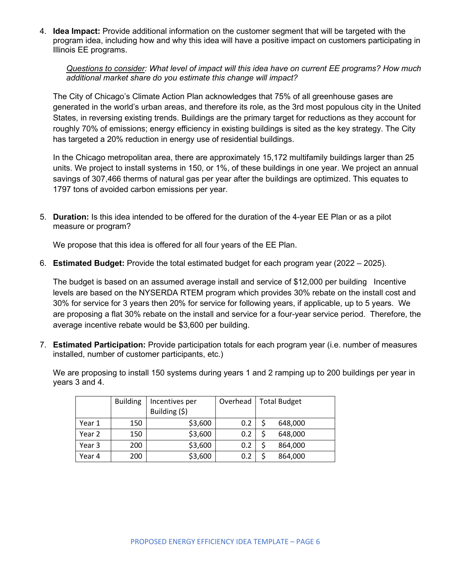4. **Idea Impact:** Provide additional information on the customer segment that will be targeted with the program idea, including how and why this idea will have a positive impact on customers participating in Illinois EE programs.

*Questions to consider: What level of impact will this idea have on current EE programs? How much additional market share do you estimate this change will impact?*

The City of Chicago's Climate Action Plan acknowledges that 75% of all greenhouse gases are generated in the world's urban areas, and therefore its role, as the 3rd most populous city in the United States, in reversing existing trends. Buildings are the primary target for reductions as they account for roughly 70% of emissions; energy efficiency in existing buildings is sited as the key strategy. The City has targeted a 20% reduction in energy use of residential buildings.

In the Chicago metropolitan area, there are approximately 15,172 multifamily buildings larger than 25 units. We project to install systems in 150, or 1%, of these buildings in one year. We project an annual savings of 307,466 therms of natural gas per year after the buildings are optimized. This equates to 1797 tons of avoided carbon emissions per year.

5. **Duration:** Is this idea intended to be offered for the duration of the 4-year EE Plan or as a pilot measure or program?

We propose that this idea is offered for all four years of the EE Plan.

6. **Estimated Budget:** Provide the total estimated budget for each program year (2022 – 2025).

The budget is based on an assumed average install and service of \$12,000 per building Incentive levels are based on the NYSERDA RTEM program which provides 30% rebate on the install cost and 30% for service for 3 years then 20% for service for following years, if applicable, up to 5 years. We are proposing a flat 30% rebate on the install and service for a four-year service period. Therefore, the average incentive rebate would be \$3,600 per building.

7. **Estimated Participation:** Provide participation totals for each program year (i.e. number of measures installed, number of customer participants, etc.)

We are proposing to install 150 systems during years 1 and 2 ramping up to 200 buildings per year in years 3 and 4.

|        | <b>Building</b> | Incentives per<br>Building (\$) | Overhead | <b>Total Budget</b> |  |
|--------|-----------------|---------------------------------|----------|---------------------|--|
| Year 1 | 150             | \$3,600                         | 0.2      | 648,000             |  |
| Year 2 | 150             | \$3,600                         | 0.2      | 648,000             |  |
| Year 3 | 200             | \$3,600                         | 0.2      | 864,000             |  |
| Year 4 | 200             | \$3,600                         | 0.2      | 864,000             |  |